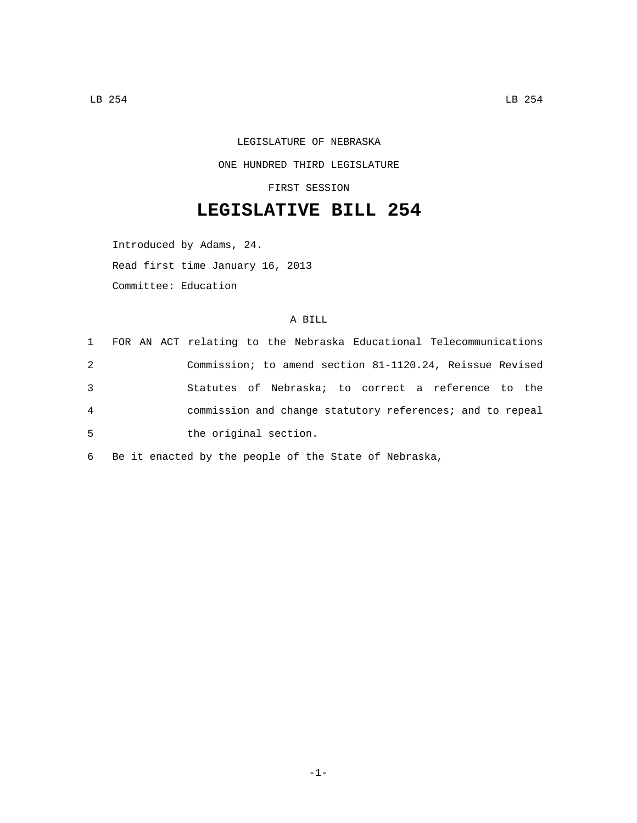## LEGISLATURE OF NEBRASKA ONE HUNDRED THIRD LEGISLATURE

FIRST SESSION

## **LEGISLATIVE BILL 254**

Introduced by Adams, 24. Read first time January 16, 2013 Committee: Education

## A BILL

|   | 1 FOR AN ACT relating to the Nebraska Educational Telecommunications |
|---|----------------------------------------------------------------------|
| 2 | Commission; to amend section 81-1120.24, Reissue Revised             |
| 3 | Statutes of Nebraska; to correct a reference to the                  |
| 4 | commission and change statutory references; and to repeal            |
| 5 | the original section.                                                |

6 Be it enacted by the people of the State of Nebraska,